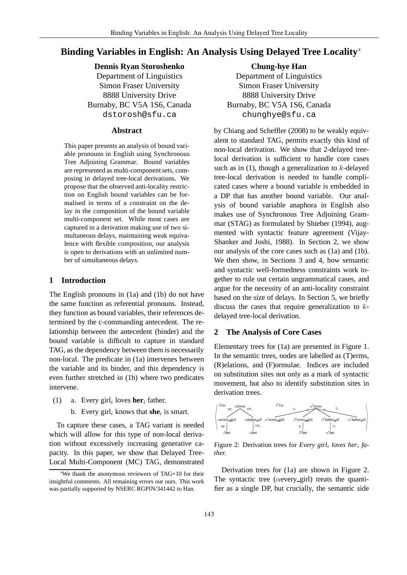# **Binding Variables in English: An Analysis Using Delayed Tree Locality**<sup>∗</sup>

# **Dennis Ryan Storoshenko**

Department of Linguistics Simon Fraser University 8888 University Drive Burnaby, BC V5A 1S6, Canada dstorosh@sfu.ca

### **Abstract**

This paper presents an analysis of bound variable pronouns in English using Synchronous Tree Adjoining Grammar. Bound variables are represented as multi-component sets, composing in delayed tree-local derivations. We propose that the observed anti-locality restriction on English bound variables can be formalised in terms of a constraint on the delay in the composition of the bound variable multi-component set. While most cases are captured in a derivation making use of two simultaneous delays, maintaining weak equivalence with flexible composition, our analysis is open to derivations with an unlimited number of simultaneous delays.

### **1 Introduction**

The English pronouns in (1a) and (1b) do not have the same function as referential pronouns. Instead, they function as bound variables, their references determined by the c-commanding antecedent. The relationship between the antecedent (binder) and the bound variable is difficult to capture in standard TAG, as the dependency between them is necessarily non-local. The predicate in (1a) intervenes between the variable and its binder, and this dependency is even further stretched in (1b) where two predicates intervene.

- (1) a. Every girl<sub>i</sub> loves **her**<sub>i</sub> father.
	- b. Every  $\text{girl}_i$  knows that **she**<sub>i</sub> is smart.

To capture these cases, a TAG variant is needed which will allow for this type of non-local derivation without excessively increasing generative capacity. In this paper, we show that Delayed Tree-Local Multi-Component (MC) TAG, demonstrated

**Chung-hye Han** Department of Linguistics Simon Fraser University 8888 University Drive Burnaby, BC V5A 1S6, Canada chunghye@sfu.ca

by Chiang and Scheffler (2008) to be weakly equivalent to standard TAG, permits exactly this kind of non-local derivation. We show that 2-delayed treelocal derivation is sufficient to handle core cases such as in  $(1)$ , though a generalization to  $k$ -delayed tree-local derivation is needed to handle complicated cases where a bound variable is embedded in a DP that has another bound variable. Our analysis of bound variable anaphora in English also makes use of Synchronous Tree Adjoining Grammar (STAG) as formulated by Shieber (1994), augmented with syntactic feature agreement (Vijay-Shanker and Joshi, 1988). In Section 2, we show our analysis of the core cases such as (1a) and (1b). We then show, in Sections 3 and 4, how semantic and syntactic well-formedness constraints work together to rule out certain ungrammatical cases, and argue for the necessity of an anti-locality constraint based on the size of delays. In Section 5, we briefly discuss the cases that require generalization to  $k$ delayed tree-local derivation.

## **2 The Analysis of Core Cases**

Elementary trees for (1a) are presented in Figure 1. In the semantic trees, nodes are labelled as (T)erms, (R)elations, and (F)ormulae. Indices are included on substitution sites not only as a mark of syntactic movement, but also to identify substitution sites in derivation trees.



Figure 2: Derivation trees for *Every girl*<sup>i</sup> *loves her*<sup>i</sup> *father.*

Derivation trees for (1a) are shown in Figure 2. The syntactic tree ( $\alpha$ every girl) treats the quantifier as a single DP, but crucially, the semantic side

<sup>∗</sup>We thank the anonymous reviewers of TAG+10 for their insightful comments. All remaining errors our ours. This work was partially supported by NSERC RGPIN/341442 to Han.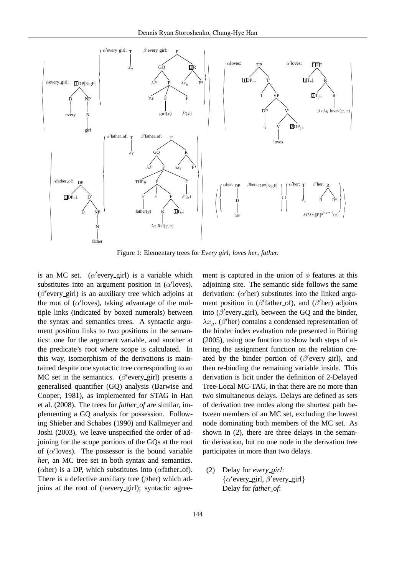

Figure 1: Elementary trees for *Every girl*<sup>i</sup> *loves her*<sup>i</sup> *father.*

is an MC set.  $(\alpha$  / every girl) is a variable which substitutes into an argument position in  $(\alpha'$ loves).  $(\beta'$ every\_girl) is an auxiliary tree which adjoins at the root of  $(\alpha'$ loves), taking advantage of the multiple links (indicated by boxed numerals) between the syntax and semantics trees. A syntactic argument position links to two positions in the semantics: one for the argument variable, and another at the predicate's root where scope is calculated. In this way, isomorphism of the derivations is maintained despite one syntactic tree corresponding to an MC set in the semantics. ( $\beta$ 'every\_girl) presents a generalised quantifier (GQ) analysis (Barwise and Cooper, 1981), as implemented for STAG in Han et al. (2008). The trees for *father of* are similar, implementing a GQ analysis for possession. Following Shieber and Schabes (1990) and Kallmeyer and Joshi (2003), we leave unspecified the order of adjoining for the scope portions of the GQs at the root of  $(\alpha'$ loves). The possessor is the bound variable *her*, an MC tree set in both syntax and semantics. ( $\alpha$ her) is a DP, which substitutes into ( $\alpha$ father\_of). There is a defective auxiliary tree ( $\beta$ her) which adjoins at the root of ( $\alpha$ every\_girl); syntactic agree-

ment is captured in the union of  $\phi$  features at this adjoining site. The semantic side follows the same derivation:  $(\alpha'$ her) substitutes into the linked argument position in ( $\beta'$ father\_of), and ( $\beta'$ her) adjoins into ( $\beta'$ every\_girl), between the GQ and the binder,  $\lambda x_g$ . ( $\beta'$ her) contains a condensed representation of the binder index evaluation rule presented in Büring (2005), using one function to show both steps of altering the assignment function on the relation created by the binder portion of  $(\beta$ 'every\_girl), and then re-binding the remaining variable inside. This derivation is licit under the definition of 2-Delayed Tree-Local MC-TAG, in that there are no more than two simultaneous delays. Delays are defined as sets of derivation tree nodes along the shortest path between members of an MC set, excluding the lowest node dominating both members of the MC set. As shown in (2), there are three delays in the semantic derivation, but no one node in the derivation tree participates in more than two delays.

(2) Delay for *every girl*:  $\{\alpha'$ every\_girl,  $\beta'$ every\_girl} Delay for *father of*: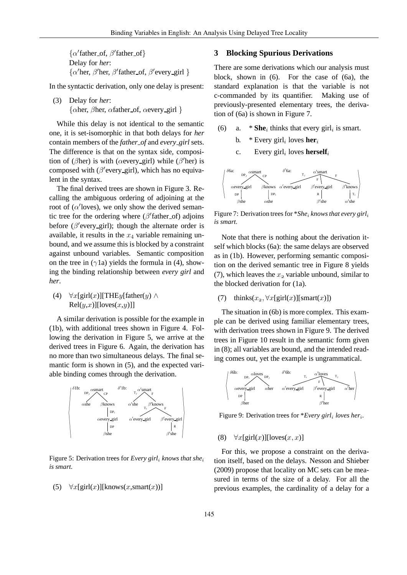$\{\alpha'$  father\_of,  $\beta'$  father\_of} Delay for *her*:  $\{\alpha'$ her,  $\beta'$ father\_of,  $\beta'$ every\_girl }

In the syntactic derivation, only one delay is present:

(3) Delay for *her*: { $\alpha$ her,  $\beta$ her,  $\alpha$ father of,  $\alpha$ every girl }

While this delay is not identical to the semantic one, it is set-isomorphic in that both delays for *her* contain members of the *father of* and *every girl* sets. The difference is that on the syntax side, composition of ( $\beta$ her) is with ( $\alpha$ every\_girl) while ( $\beta'$ her) is composed with  $(\beta'$ every\_girl), which has no equivalent in the syntax.

The final derived trees are shown in Figure 3. Recalling the ambiguous ordering of adjoining at the root of  $(\alpha'$ loves), we only show the derived semantic tree for the ordering where  $(\beta'$ father\_of) adjoins before ( $\beta'$ every\_girl); though the alternate order is available, it results in the  $x_4$  variable remaining unbound, and we assume this is blocked by a constraint against unbound variables. Semantic composition on the tree in ( $\gamma$ 1a) yields the formula in (4), showing the binding relationship between *every girl* and *her*.

(4)  $\forall x$ [girl(x)][THEy[father(y) ∧  $Rel(y,x)$ [loves $(x,y)$ ]]

A similar derivation is possible for the example in (1b), with additional trees shown in Figure 4. Following the derivation in Figure 5, we arrive at the derived trees in Figure 6. Again, the derivation has no more than two simultaneous delays. The final semantic form is shown in (5), and the expected variable binding comes through the derivation.



Figure 5: Derivation trees for *Every girl*<sup>i</sup> *knows that she*<sup>i</sup> *is smart.*

### (5)  $\forall x$ [girl(x)][knows(x,smart(x))]

## **3 Blocking Spurious Derivations**

There are some derivations which our analysis must block, shown in (6). For the case of (6a), the standard explanation is that the variable is not c-commanded by its quantifier. Making use of previously-presented elementary trees, the derivation of (6a) is shown in Figure 7.

- (6) a.  $*$  **She**<sub>i</sub> thinks that every girl<sub>i</sub> is smart.
	- b.  $*$  Every girl<sub>i</sub> loves **her**<sub>i</sub>
	- c. Every  $\text{girl}_i$  loves **herself**<sub>i</sub>



Figure 7: Derivation trees for \**She<sub>i</sub>* knows that every girl<sub>i</sub> *is smart.*

Note that there is nothing about the derivation itself which blocks (6a): the same delays are observed as in (1b). However, performing semantic composition on the derived semantic tree in Figure 8 yields (7), which leaves the  $x_2$  variable unbound, similar to the blocked derivation for (1a).

(7) thinks( $x_2$ ,  $\forall x$ [girl(x)][smart(x)])

The situation in (6b) is more complex. This example can be derived using familiar elementary trees, with derivation trees shown in Figure 9. The derived trees in Figure 10 result in the semantic form given in (8); all variables are bound, and the intended reading comes out, yet the example is ungrammatical.



Figure 9: Derivation trees for \**Every girl<sub>i</sub> loves her<sub>i</sub>*.

(8)  $\forall x$ [girl(x)][loves(x, x)]

For this, we propose a constraint on the derivation itself, based on the delays. Nesson and Shieber (2009) propose that locality on MC sets can be measured in terms of the size of a delay. For all the previous examples, the cardinality of a delay for a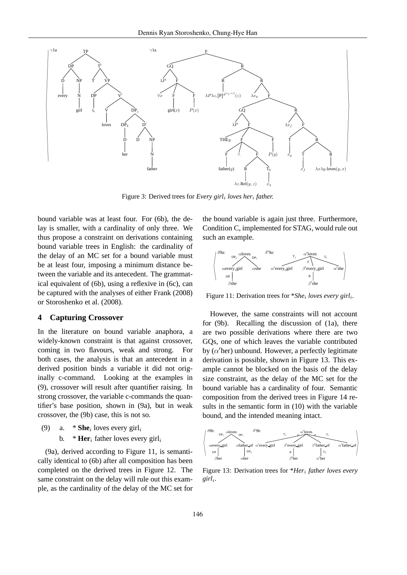

Figure 3: Derived trees for *Every girl<sub>i</sub> loves her<sub>i</sub> father.* 

bound variable was at least four. For (6b), the delay is smaller, with a cardinality of only three. We thus propose a constraint on derivations containing bound variable trees in English: the cardinality of the delay of an MC set for a bound variable must be at least four, imposing a minimum distance between the variable and its antecedent. The grammatical equivalent of (6b), using a reflexive in (6c), can be captured with the analyses of either Frank (2008) or Storoshenko et al. (2008).

#### **4 Capturing Crossover**

In the literature on bound variable anaphora, a widely-known constraint is that against crossover, coming in two flavours, weak and strong. For both cases, the analysis is that an antecedent in a derived position binds a variable it did not originally c-command. Looking at the examples in (9), crossover will result after quantifier raising. In strong crossover, the variable c-commands the quantifier's base position, shown in (9a), but in weak crossover, the (9b) case, this is not so.

- (9) a.  $*$  **She**<sub>i</sub> loves every girl<sub>i</sub>
	- b.  $*$  **Her**<sub>i</sub> father loves every girl<sub>i</sub>

(9a), derived according to Figure 11, is semantically identical to (6b) after all composition has been completed on the derived trees in Figure 12. The same constraint on the delay will rule out this example, as the cardinality of the delay of the MC set for the bound variable is again just three. Furthermore, Condition C, implemented for STAG, would rule out such an example.



Figure 11: Derivation trees for *\*She<sub>i</sub>* loves every girl<sub>i</sub>.

However, the same constraints will not account for (9b). Recalling the discussion of (1a), there are two possible derivations where there are two GQs, one of which leaves the variable contributed by  $(\alpha'$ her) unbound. However, a perfectly legitimate derivation is possible, shown in Figure 13. This example cannot be blocked on the basis of the delay size constraint, as the delay of the MC set for the bound variable has a cardinality of four. Semantic composition from the derived trees in Figure 14 results in the semantic form in (10) with the variable bound, and the intended meaning intact.



Figure 13: Derivation trees for \**Her*<sup>i</sup> *father loves every girl*<sup>i</sup> *.*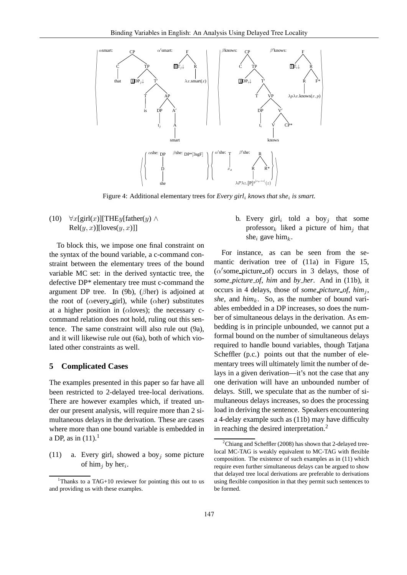

Figure 4: Additional elementary trees for *Every girl<sub>i</sub>* knows that she<sub>i</sub> is smart.

(10)  $\forall x$ [girl(x)][THEy[father(y) ∧  $Rel(y, x)][loves(y, x)]$ 

To block this, we impose one final constraint on the syntax of the bound variable, a c-command constraint between the elementary trees of the bound variable MC set: in the derived syntactic tree, the defective DP\* elementary tree must c-command the argument DP tree. In (9b), ( $\beta$ her) is adjoined at the root of ( $\alpha$ every\_girl), while ( $\alpha$ her) substitutes at a higher position in ( $\alpha$ loves); the necessary ccommand relation does not hold, ruling out this sentence. The same constraint will also rule out (9a), and it will likewise rule out (6a), both of which violated other constraints as well.

#### **5 Complicated Cases**

The examples presented in this paper so far have all been restricted to 2-delayed tree-local derivations. There are however examples which, if treated under our present analysis, will require more than 2 simultaneous delays in the derivation. These are cases where more than one bound variable is embedded in a DP, as in  $(11).<sup>1</sup>$ 

(11) a. Every girl<sub>i</sub> showed a boy<sub>j</sub> some picture of him<sub>j</sub> by her<sub>i</sub>.

b. Every girl<sub>i</sub> told a boy<sub>j</sub> that some professor<sub>k</sub> liked a picture of him<sub>i</sub> that she<sub>i</sub> gave him<sub>k</sub>.

For instance, as can be seen from the semantic derivation tree of (11a) in Figure 15,  $(\alpha'$ some\_picture\_of) occurs in 3 delays, those of *some picture of*, *him* and *by her*. And in (11b), it occurs in 4 delays, those of *some picture of, him<sub>i</sub>*,  $she$ , and  $him_k$ . So, as the number of bound variables embedded in a DP increases, so does the number of simultaneous delays in the derivation. As embedding is in principle unbounded, we cannot put a formal bound on the number of simultaneous delays required to handle bound variables, though Tatjana Scheffler (p.c.) points out that the number of elementary trees will ultimately limit the number of delays in a given derivation—it's not the case that any one derivation will have an unbounded number of delays. Still, we speculate that as the number of simultaneous delays increases, so does the processing load in deriving the sentence. Speakers encountering a 4-delay example such as (11b) may have difficulty in reaching the desired interpretation.<sup>2</sup>

<sup>&</sup>lt;sup>1</sup>Thanks to a TAG+10 reviewer for pointing this out to us and providing us with these examples.

 $2^2$ Chiang and Scheffler (2008) has shown that 2-delayed treelocal MC-TAG is weakly equivalent to MC-TAG with flexible composition. The existence of such examples as in (11) which require even further simultaneous delays can be argued to show that delayed tree local derivations are preferable to derivations using flexible composition in that they permit such sentences to be formed.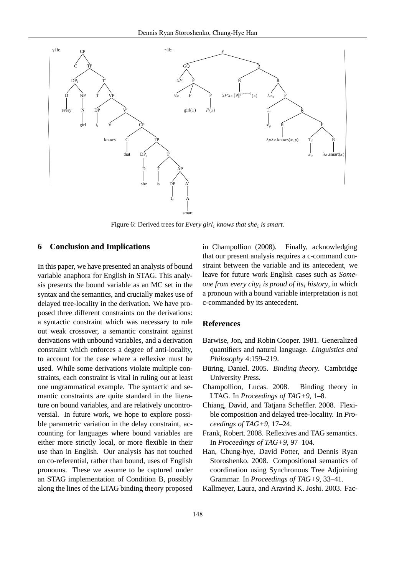

Figure 6: Derived trees for *Every girl<sub>i</sub> knows that she<sub>i</sub> is smart*.

### **6 Conclusion and Implications**

In this paper, we have presented an analysis of bound variable anaphora for English in STAG. This analysis presents the bound variable as an MC set in the syntax and the semantics, and crucially makes use of delayed tree-locality in the derivation. We have proposed three different constraints on the derivations: a syntactic constraint which was necessary to rule out weak crossover, a semantic constraint against derivations with unbound variables, and a derivation constraint which enforces a degree of anti-locality, to account for the case where a reflexive must be used. While some derivations violate multiple constraints, each constraint is vital in ruling out at least one ungrammatical example. The syntactic and semantic constraints are quite standard in the literature on bound variables, and are relatively uncontroversial. In future work, we hope to explore possible parametric variation in the delay constraint, accounting for languages where bound variables are either more strictly local, or more flexible in their use than in English. Our analysis has not touched on co-referential, rather than bound, uses of English pronouns. These we assume to be captured under an STAG implementation of Condition B, possibly along the lines of the LTAG binding theory proposed

in Champollion (2008). Finally, acknowledging that our present analysis requires a c-command constraint between the variable and its antecedent, we leave for future work English cases such as *Someone from every city*<sup>i</sup> *is proud of its*<sup>i</sup> *history*, in which a pronoun with a bound variable interpretation is not c-commanded by its antecedent.

#### **References**

- Barwise, Jon, and Robin Cooper. 1981. Generalized quantifiers and natural language. *Linguistics and Philosophy* 4:159–219.
- Büring, Daniel. 2005. *Binding theory*. Cambridge University Press.
- Champollion, Lucas. 2008. Binding theory in LTAG. In *Proceedings of TAG+9*, 1–8.
- Chiang, David, and Tatjana Scheffler. 2008. Flexible composition and delayed tree-locality. In *Proceedings of TAG+9*, 17–24.
- Frank, Robert. 2008. Reflexives and TAG semantics. In *Proceedings of TAG+9*, 97–104.
- Han, Chung-hye, David Potter, and Dennis Ryan Storoshenko. 2008. Compositional semantics of coordination using Synchronous Tree Adjoining Grammar. In *Proceedings of TAG+9*, 33–41.

Kallmeyer, Laura, and Aravind K. Joshi. 2003. Fac-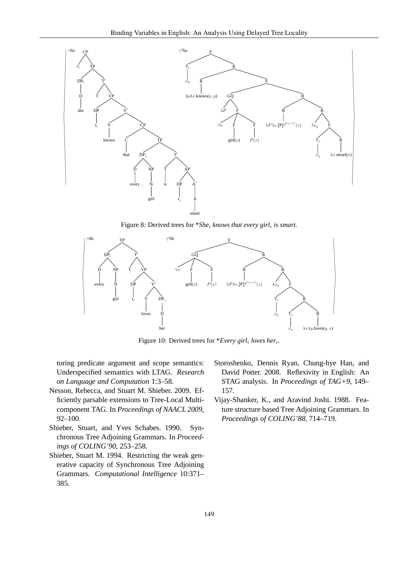

Figure 8: Derived trees for  $*She_i$  knows that every girl<sub>i</sub> is smart.



Figure 10: Derived trees for \**Every girl<sub>i</sub>* loves her<sub>i</sub>.

toring predicate argument and scope semantics: Underspecified semantics with LTAG. *Research on Language and Computation* 1:3–58.

- Nesson, Rebecca, and Stuart M. Shieber. 2009. Efficiently parsable extensions to Tree-Local Multicomponent TAG. In *Proceedings of NAACL 2009*, 92–100.
- Shieber, Stuart, and Yves Schabes. 1990. Synchronous Tree Adjoining Grammars. In *Proceedings of COLING'90*, 253–258.
- Shieber, Stuart M. 1994. Restricting the weak generative capacity of Synchronous Tree Adjoining Grammars. *Computational Intelligence* 10:371– 385.
- Storoshenko, Dennis Ryan, Chung-hye Han, and David Potter. 2008. Reflexivity in English: An STAG analysis. In *Proceedings of TAG+9*, 149– 157.
- Vijay-Shanker, K., and Aravind Joshi. 1988. Feature structure based Tree Adjoining Grammars. In *Proceedings of COLING'88*, 714–719.